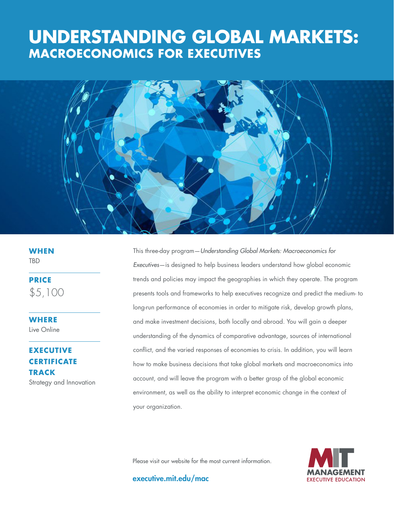# **THE GOOD JOBS MACROECONOMICS FOR EXECUTIVESUNDERSTANDING GLOBAL MARKETS:**



**WHEN TBD** 

**PRICE** \$5,100

**WHERE**  Live Online

## **EXECUTIVE CERTIFICATE TRACK**

Strategy and Innovation

This three-day program—*Understanding Global Markets: Macroeconomics for Executives*—is designed to help business leaders understand how global economic trends and policies may impact the geographies in which they operate. The program presents tools and frameworks to help executives recognize and predict the medium- to long-run performance of economies in order to mitigate risk, develop growth plans, and make investment decisions, both locally and abroad. You will gain a deeper understanding of the dynamics of comparative advantage, sources of international conflict, and the varied responses of economies to crisis. In addition, you will learn how to make business decisions that take global markets and macroeconomics into account, and will leave the program with a better grasp of the global economic environment, as well as the ability to interpret economic change in the context of your organization.

Please visit our website for the most current information.



executive.mit.edu/mac